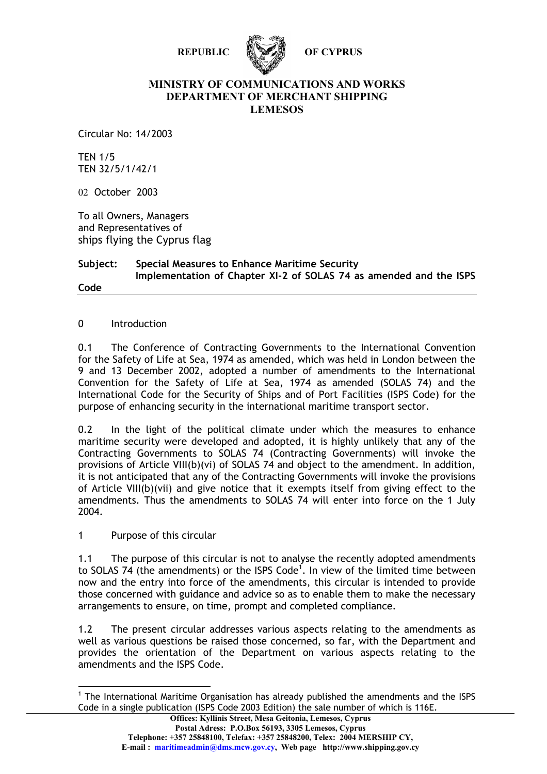



#### **MINISTRY OF COMMUNICATIONS AND WORKS DEPARTMENT OF MERCHANT SHIPPING LEMESOS**

Circular No: 14/2003

TEN 1/5 TEN 32/5/1/42/1

02 October 2003

To all Owners, Managers and Representatives of ships flying the Cyprus flag

#### **Subject: Special Measures to Enhance Maritime Security Implementation of Chapter XI-2 of SOLAS 74 as amended and the ISPS Code**

## 0 Introduction

0.1 The Conference of Contracting Governments to the International Convention for the Safety of Life at Sea, 1974 as amended, which was held in London between the 9 and 13 December 2002, adopted a number of amendments to the International Convention for the Safety of Life at Sea, 1974 as amended (SOLAS 74) and the International Code for the Security of Ships and of Port Facilities (ISPS Code) for the purpose of enhancing security in the international maritime transport sector.

0.2 In the light of the political climate under which the measures to enhance maritime security were developed and adopted, it is highly unlikely that any of the Contracting Governments to SOLAS 74 (Contracting Governments) will invoke the provisions of Article VIII(b)(vi) of SOLAS 74 and object to the amendment. In addition, it is not anticipated that any of the Contracting Governments will invoke the provisions of Article VIII(b)(vii) and give notice that it exempts itself from giving effect to the amendments. Thus the amendments to SOLAS 74 will enter into force on the 1 July 2004.

## 1 Purpose of this circular

 $\overline{a}$ 

1.1 The purpose of this circular is not to analyse the recently adopted amendments to SOLAS 74 (the amendments) or the ISPS Code<sup>1</sup>. In view of the limited time between now and the entry into force of the amendments, this circular is intended to provide those concerned with guidance and advice so as to enable them to make the necessary arrangements to ensure, on time, prompt and completed compliance.

1.2 The present circular addresses various aspects relating to the amendments as well as various questions be raised those concerned, so far, with the Department and provides the orientation of the Department on various aspects relating to the amendments and the ISPS Code.

<sup>&</sup>lt;sup>1</sup> The International Maritime Organisation has already published the amendments and the ISPS Code in a single publication (ISPS Code 2003 Edition) the sale number of which is 116E.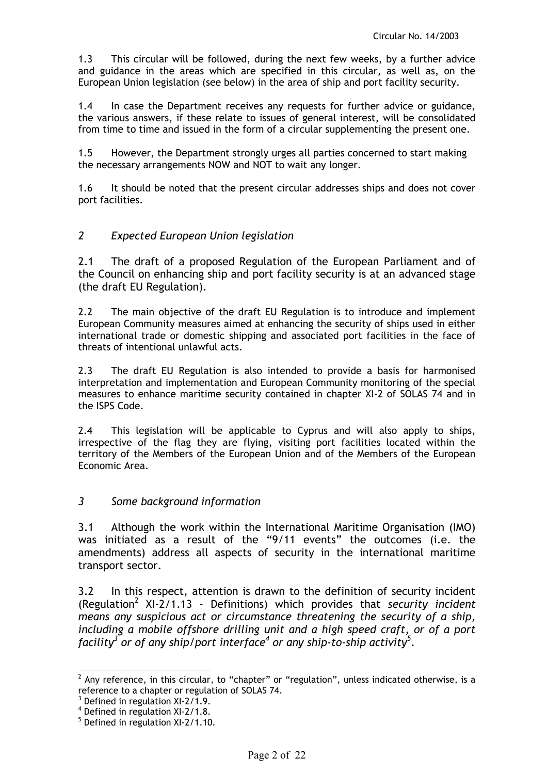1.3 This circular will be followed, during the next few weeks, by a further advice and guidance in the areas which are specified in this circular, as well as, on the European Union legislation (see below) in the area of ship and port facility security.

1.4 In case the Department receives any requests for further advice or guidance, the various answers, if these relate to issues of general interest, will be consolidated from time to time and issued in the form of a circular supplementing the present one.

1.5 However, the Department strongly urges all parties concerned to start making the necessary arrangements NOW and NOT to wait any longer.

1.6 It should be noted that the present circular addresses ships and does not cover port facilities.

# *2 Expected European Union legislation*

2.1 The draft of a proposed Regulation of the European Parliament and of the Council on enhancing ship and port facility security is at an advanced stage (the draft EU Regulation).

2.2 The main objective of the draft EU Regulation is to introduce and implement European Community measures aimed at enhancing the security of ships used in either international trade or domestic shipping and associated port facilities in the face of threats of intentional unlawful acts.

2.3 The draft EU Regulation is also intended to provide a basis for harmonised interpretation and implementation and European Community monitoring of the special measures to enhance maritime security contained in chapter XI-2 of SOLAS 74 and in the ISPS Code.

2.4 This legislation will be applicable to Cyprus and will also apply to ships, irrespective of the flag they are flying, visiting port facilities located within the territory of the Members of the European Union and of the Members of the European Economic Area.

# *3 Some background information*

3.1 Although the work within the International Maritime Organisation (IMO) was initiated as a result of the "9/11 events" the outcomes (i.e. the amendments) address all aspects of security in the international maritime transport sector.

3.2 In this respect, attention is drawn to the definition of security incident (Regulation<sup>2</sup> XI-2/1.13 - Definitions) which provides that *security incident means any suspicious act or circumstance threatening the security of a ship, including a mobile offshore drilling unit and a high speed craft, or of a port facility<sup>3</sup> or of any ship/port interface<sup>4</sup> or any ship-to-ship activity<sup>5</sup>* .

 $\frac{1}{2}$  Any reference, in this circular, to "chapter" or "regulation", unless indicated otherwise, is a reference to a chapter or regulation of SOLAS 74.

<sup>&</sup>lt;sup>3</sup> Defined in regulation XI-2/1.9.

<sup>4</sup> Defined in regulation XI-2/1.8.

<sup>&</sup>lt;sup>5</sup> Defined in regulation XI-2/1.10.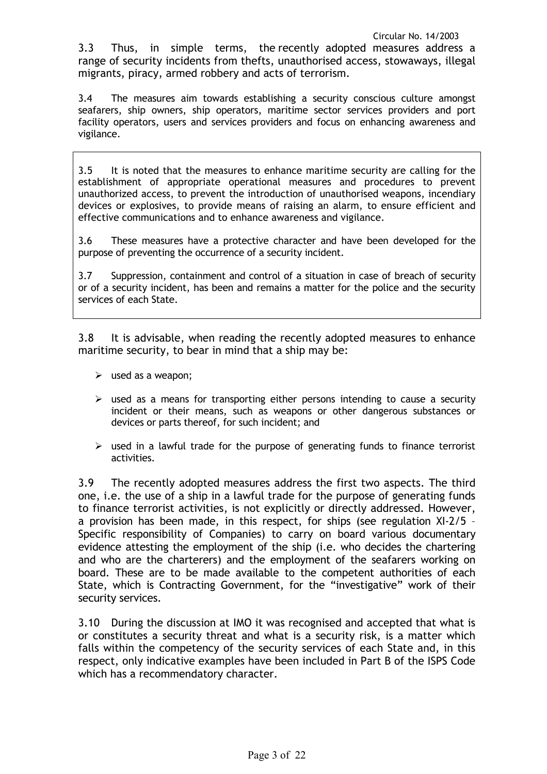3.3 Thus, in simple terms, the recently adopted measures address a range of security incidents from thefts, unauthorised access, stowaways, illegal migrants, piracy, armed robbery and acts of terrorism.

3.4 The measures aim towards establishing a security conscious culture amongst seafarers, ship owners, ship operators, maritime sector services providers and port facility operators, users and services providers and focus on enhancing awareness and vigilance.

3.5 It is noted that the measures to enhance maritime security are calling for the establishment of appropriate operational measures and procedures to prevent unauthorized access, to prevent the introduction of unauthorised weapons, incendiary devices or explosives, to provide means of raising an alarm, to ensure efficient and effective communications and to enhance awareness and vigilance.

3.6 These measures have a protective character and have been developed for the purpose of preventing the occurrence of a security incident.

3.7 Suppression, containment and control of a situation in case of breach of security or of a security incident, has been and remains a matter for the police and the security services of each State.

3.8 It is advisable, when reading the recently adopted measures to enhance maritime security, to bear in mind that a ship may be:

- $\triangleright$  used as a weapon;
- $\triangleright$  used as a means for transporting either persons intending to cause a security incident or their means, such as weapons or other dangerous substances or devices or parts thereof, for such incident; and
- $\triangleright$  used in a lawful trade for the purpose of generating funds to finance terrorist activities.

3.9 The recently adopted measures address the first two aspects. The third one, i.e. the use of a ship in a lawful trade for the purpose of generating funds to finance terrorist activities, is not explicitly or directly addressed. However, a provision has been made, in this respect, for ships (see regulation XI-2/5 – Specific responsibility of Companies) to carry on board various documentary evidence attesting the employment of the ship (i.e. who decides the chartering and who are the charterers) and the employment of the seafarers working on board. These are to be made available to the competent authorities of each State, which is Contracting Government, for the "investigative" work of their security services.

3.10 During the discussion at IMO it was recognised and accepted that what is or constitutes a security threat and what is a security risk, is a matter which falls within the competency of the security services of each State and, in this respect, only indicative examples have been included in Part B of the ISPS Code which has a recommendatory character.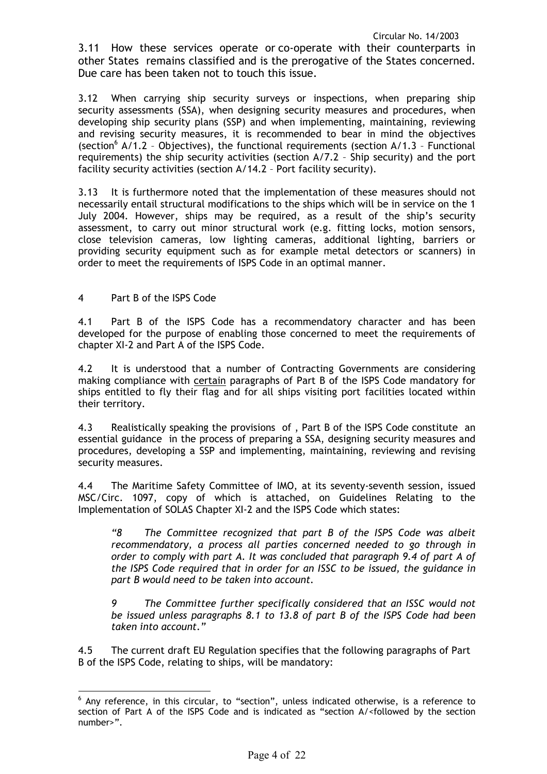3.11 How these services operate or co-operate with their counterparts in other States remains classified and is the prerogative of the States concerned. Due care has been taken not to touch this issue.

3.12 When carrying ship security surveys or inspections, when preparing ship security assessments (SSA), when designing security measures and procedures, when developing ship security plans (SSP) and when implementing, maintaining, reviewing and revising security measures, it is recommended to bear in mind the objectives (section<sup>6</sup> A/1.2 - Objectives), the functional requirements (section A/1.3 - Functional requirements) the ship security activities (section A/7.2 – Ship security) and the port facility security activities (section A/14.2 – Port facility security).

3.13 It is furthermore noted that the implementation of these measures should not necessarily entail structural modifications to the ships which will be in service on the 1 July 2004. However, ships may be required, as a result of the ship's security assessment, to carry out minor structural work (e.g. fitting locks, motion sensors, close television cameras, low lighting cameras, additional lighting, barriers or providing security equipment such as for example metal detectors or scanners) in order to meet the requirements of ISPS Code in an optimal manner.

4 Part B of the ISPS Code

4.1 Part B of the ISPS Code has a recommendatory character and has been developed for the purpose of enabling those concerned to meet the requirements of chapter XI-2 and Part A of the ISPS Code.

4.2 It is understood that a number of Contracting Governments are considering making compliance with certain paragraphs of Part B of the ISPS Code mandatory for ships entitled to fly their flag and for all ships visiting port facilities located within their territory.

4.3 Realistically speaking the provisions of , Part B of the ISPS Code constitute an essential guidance in the process of preparing a SSA, designing security measures and procedures, developing a SSP and implementing, maintaining, reviewing and revising security measures.

4.4 The Maritime Safety Committee of IMO, at its seventy-seventh session, issued MSC/Circ. 1097, copy of which is attached, on Guidelines Relating to the Implementation of SOLAS Chapter XI-2 and the ISPS Code which states:

*"8 The Committee recognized that part B of the ISPS Code was albeit recommendatory, a process all parties concerned needed to go through in order to comply with part A. It was concluded that paragraph 9.4 of part A of the ISPS Code required that in order for an ISSC to be issued, the guidance in part B would need to be taken into account.* 

*9 The Committee further specifically considered that an ISSC would not be issued unless paragraphs 8.1 to 13.8 of part B of the ISPS Code had been taken into account."* 

4.5 The current draft EU Regulation specifies that the following paragraphs of Part B of the ISPS Code, relating to ships, will be mandatory:

 6 Any reference, in this circular, to "section", unless indicated otherwise, is a reference to section of Part A of the ISPS Code and is indicated as "section A/<followed by the section number>".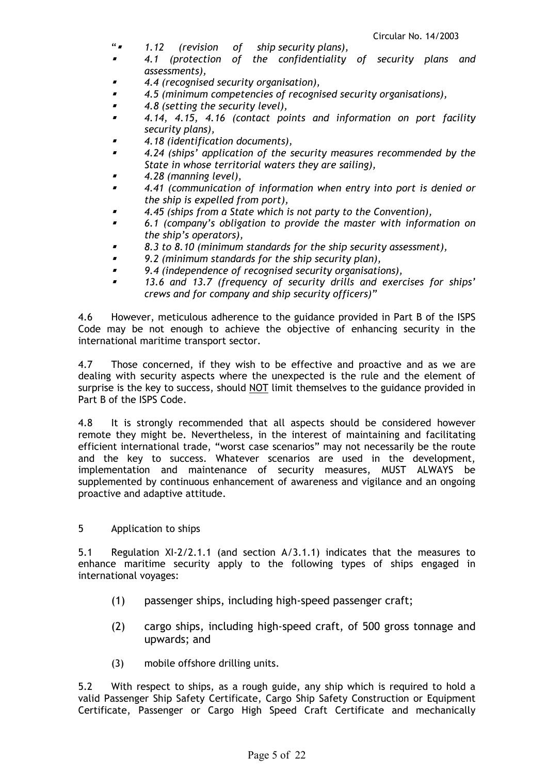- " *1.12 (revision of ship security plans),*
- *4.1 (protection of the confidentiality of security plans and assessments),*
- *4.4 (recognised security organisation),*
- *4.5 (minimum competencies of recognised security organisations),*
- *4.8 (setting the security level),*
- *4.14, 4.15, 4.16 (contact points and information on port facility security plans),*
- *4.18 (identification documents),*
- *4.24 (ships' application of the security measures recommended by the State in whose territorial waters they are sailing),*
- *4.28 (manning level),*
- *4.41 (communication of information when entry into port is denied or the ship is expelled from port),*
- *4.45 (ships from a State which is not party to the Convention),*
- *6.1 (company's obligation to provide the master with information on the ship's operators),*
- *8.3 to 8.10 (minimum standards for the ship security assessment),*
- *9.2 (minimum standards for the ship security plan),*
- *9.4 (independence of recognised security organisations),*
- *13.6 and 13.7 (frequency of security drills and exercises for ships' crews and for company and ship security officers)"*

4.6 However, meticulous adherence to the guidance provided in Part B of the ISPS Code may be not enough to achieve the objective of enhancing security in the international maritime transport sector.

4.7 Those concerned, if they wish to be effective and proactive and as we are dealing with security aspects where the unexpected is the rule and the element of surprise is the key to success, should NOT limit themselves to the guidance provided in Part B of the ISPS Code.

4.8 It is strongly recommended that all aspects should be considered however remote they might be. Nevertheless, in the interest of maintaining and facilitating efficient international trade, "worst case scenarios" may not necessarily be the route and the key to success. Whatever scenarios are used in the development, implementation and maintenance of security measures, MUST ALWAYS be supplemented by continuous enhancement of awareness and vigilance and an ongoing proactive and adaptive attitude.

5 Application to ships

5.1 Regulation XI-2/2.1.1 (and section A/3.1.1) indicates that the measures to enhance maritime security apply to the following types of ships engaged in international voyages:

- (1) passenger ships, including high-speed passenger craft;
- (2) cargo ships, including high-speed craft, of 500 gross tonnage and upwards; and
- (3) mobile offshore drilling units.

5.2 With respect to ships, as a rough guide, any ship which is required to hold a valid Passenger Ship Safety Certificate, Cargo Ship Safety Construction or Equipment Certificate, Passenger or Cargo High Speed Craft Certificate and mechanically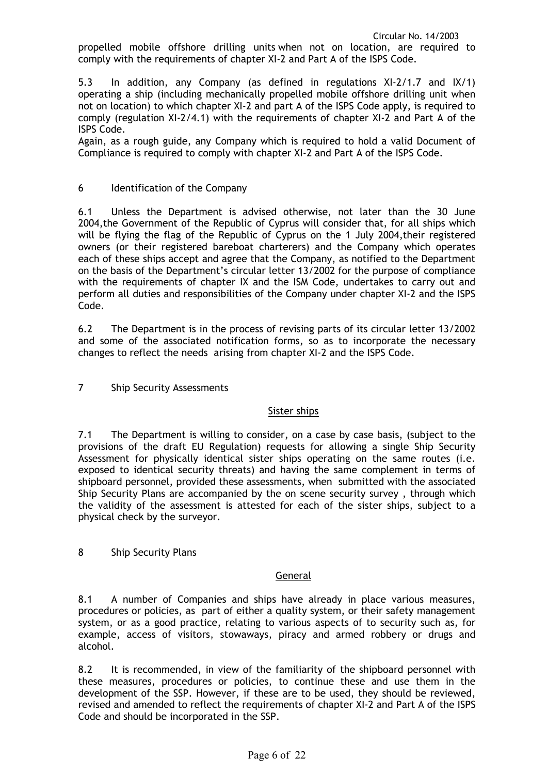propelled mobile offshore drilling units when not on location, are required to comply with the requirements of chapter XI-2 and Part A of the ISPS Code.

5.3 In addition, any Company (as defined in regulations XI-2/1.7 and IX/1) operating a ship (including mechanically propelled mobile offshore drilling unit when not on location) to which chapter XI-2 and part A of the ISPS Code apply, is required to comply (regulation XI-2/4.1) with the requirements of chapter XI-2 and Part A of the ISPS Code.

Again, as a rough guide, any Company which is required to hold a valid Document of Compliance is required to comply with chapter XI-2 and Part A of the ISPS Code.

## 6 Identification of the Company

6.1 Unless the Department is advised otherwise, not later than the 30 June 2004,the Government of the Republic of Cyprus will consider that, for all ships which will be flying the flag of the Republic of Cyprus on the 1 July 2004,their registered owners (or their registered bareboat charterers) and the Company which operates each of these ships accept and agree that the Company, as notified to the Department on the basis of the Department's circular letter 13/2002 for the purpose of compliance with the requirements of chapter IX and the ISM Code, undertakes to carry out and perform all duties and responsibilities of the Company under chapter XI-2 and the ISPS Code.

6.2 The Department is in the process of revising parts of its circular letter 13/2002 and some of the associated notification forms, so as to incorporate the necessary changes to reflect the needs arising from chapter XI-2 and the ISPS Code.

7 Ship Security Assessments

## Sister ships

7.1 The Department is willing to consider, on a case by case basis, (subject to the provisions of the draft EU Regulation) requests for allowing a single Ship Security Assessment for physically identical sister ships operating on the same routes (i.e. exposed to identical security threats) and having the same complement in terms of shipboard personnel, provided these assessments, when submitted with the associated Ship Security Plans are accompanied by the on scene security survey , through which the validity of the assessment is attested for each of the sister ships, subject to a physical check by the surveyor.

8 Ship Security Plans

## **General**

8.1 A number of Companies and ships have already in place various measures, procedures or policies, as part of either a quality system, or their safety management system, or as a good practice, relating to various aspects of to security such as, for example, access of visitors, stowaways, piracy and armed robbery or drugs and alcohol.

8.2 It is recommended, in view of the familiarity of the shipboard personnel with these measures, procedures or policies, to continue these and use them in the development of the SSP. However, if these are to be used, they should be reviewed, revised and amended to reflect the requirements of chapter XI-2 and Part A of the ISPS Code and should be incorporated in the SSP.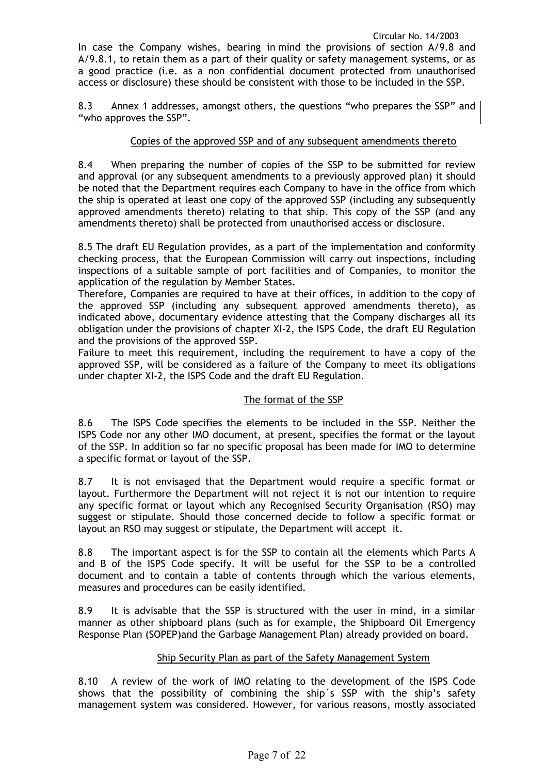In case the Company wishes, bearing in mind the provisions of section A/9.8 and A/9.8.1, to retain them as a part of their quality or safety management systems, or as a good practice (i.e. as a non confidential document protected from unauthorised access or disclosure) these should be consistent with those to be included in the SSP.

8.3 Annex 1 addresses, amongst others, the questions "who prepares the SSP" and "who approves the SSP".

## Copies of the approved SSP and of any subsequent amendments thereto

8.4 When preparing the number of copies of the SSP to be submitted for review and approval (or any subsequent amendments to a previously approved plan) it should be noted that the Department requires each Company to have in the office from which the ship is operated at least one copy of the approved SSP (including any subsequently approved amendments thereto) relating to that ship. This copy of the SSP (and any amendments thereto) shall be protected from unauthorised access or disclosure.

8.5 The draft EU Regulation provides, as a part of the implementation and conformity checking process, that the European Commission will carry out inspections, including inspections of a suitable sample of port facilities and of Companies, to monitor the application of the regulation by Member States.

Therefore, Companies are required to have at their offices, in addition to the copy of the approved SSP (including any subsequent approved amendments thereto), as indicated above, documentary evidence attesting that the Company discharges all its obligation under the provisions of chapter XI-2, the ISPS Code, the draft EU Regulation and the provisions of the approved SSP.

Failure to meet this requirement, including the requirement to have a copy of the approved SSP, will be considered as a failure of the Company to meet its obligations under chapter XI-2, the ISPS Code and the draft EU Regulation.

## The format of the SSP

8.6 The ISPS Code specifies the elements to be included in the SSP. Neither the ISPS Code nor any other IMO document, at present, specifies the format or the layout of the SSP. In addition so far no specific proposal has been made for IMO to determine a specific format or layout of the SSP.

8.7 It is not envisaged that the Department would require a specific format or layout. Furthermore the Department will not reject it is not our intention to require any specific format or layout which any Recognised Security Organisation (RSO) may suggest or stipulate. Should those concerned decide to follow a specific format or layout an RSO may suggest or stipulate, the Department will accept it.

8.8 The important aspect is for the SSP to contain all the elements which Parts A and B of the ISPS Code specify. It will be useful for the SSP to be a controlled document and to contain a table of contents through which the various elements, measures and procedures can be easily identified.

8.9 It is advisable that the SSP is structured with the user in mind, in a similar manner as other shipboard plans (such as for example, the Shipboard Oil Emergency Response Plan (SOPEP)and the Garbage Management Plan) already provided on board.

## Ship Security Plan as part of the Safety Management System

8.10 A review of the work of IMO relating to the development of the ISPS Code shows that the possibility of combining the ship´s SSP with the ship's safety management system was considered. However, for various reasons, mostly associated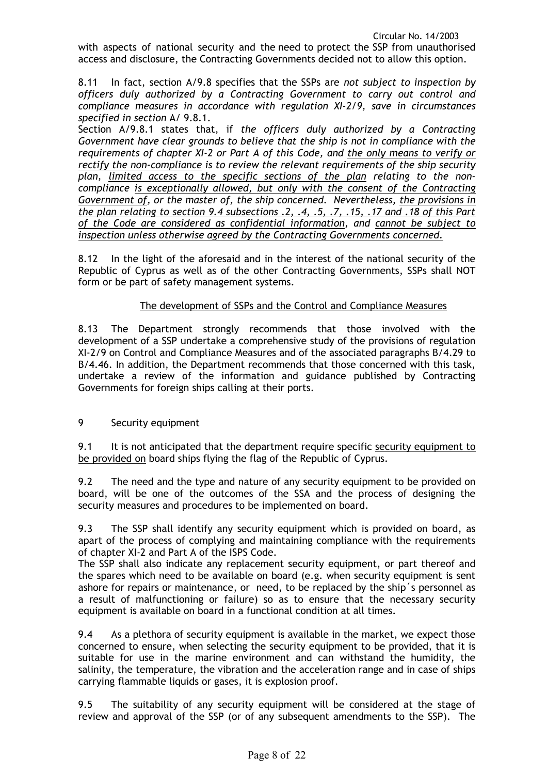with aspects of national security and the need to protect the SSP from unauthorised access and disclosure, the Contracting Governments decided not to allow this option.

8.11 In fact, section A/9.8 specifies that the SSPs are *not subject to inspection by officers duly authorized by a Contracting Government to carry out control and compliance measures in accordance with regulation XI-2/9, save in circumstances specified in section* A/ 9.8.1.

Section A/9.8.1 states that, if *the officers duly authorized by a Contracting Government have clear grounds to believe that the ship is not in compliance with the requirements of chapter XI-2 or Part A of this Code, and the only means to verify or rectify the non-compliance is to review the relevant requirements of the ship security plan, limited access to the specific sections of the plan relating to the noncompliance is exceptionally allowed, but only with the consent of the Contracting Government of, or the master of, the ship concerned. Nevertheless, the provisions in the plan relating to section 9.4 subsections .2, .4, .5, .7, .15, .17 and .18 of this Part of the Code are considered as confidential information, and cannot be subject to inspection unless otherwise agreed by the Contracting Governments concerned.*

8.12 In the light of the aforesaid and in the interest of the national security of the Republic of Cyprus as well as of the other Contracting Governments, SSPs shall NOT form or be part of safety management systems.

# The development of SSPs and the Control and Compliance Measures

8.13 The Department strongly recommends that those involved with the development of a SSP undertake a comprehensive study of the provisions of regulation XI-2/9 on Control and Compliance Measures and of the associated paragraphs B/4.29 to B/4.46. In addition, the Department recommends that those concerned with this task, undertake a review of the information and guidance published by Contracting Governments for foreign ships calling at their ports.

## 9 Security equipment

9.1 It is not anticipated that the department require specific security equipment to be provided on board ships flying the flag of the Republic of Cyprus.

9.2 The need and the type and nature of any security equipment to be provided on board, will be one of the outcomes of the SSA and the process of designing the security measures and procedures to be implemented on board.

9.3 The SSP shall identify any security equipment which is provided on board, as apart of the process of complying and maintaining compliance with the requirements of chapter XI-2 and Part A of the ISPS Code.

The SSP shall also indicate any replacement security equipment, or part thereof and the spares which need to be available on board (e.g. when security equipment is sent ashore for repairs or maintenance, or need, to be replaced by the ship´s personnel as a result of malfunctioning or failure) so as to ensure that the necessary security equipment is available on board in a functional condition at all times.

9.4 As a plethora of security equipment is available in the market, we expect those concerned to ensure, when selecting the security equipment to be provided, that it is suitable for use in the marine environment and can withstand the humidity, the salinity, the temperature, the vibration and the acceleration range and in case of ships carrying flammable liquids or gases, it is explosion proof.

9.5 The suitability of any security equipment will be considered at the stage of review and approval of the SSP (or of any subsequent amendments to the SSP). The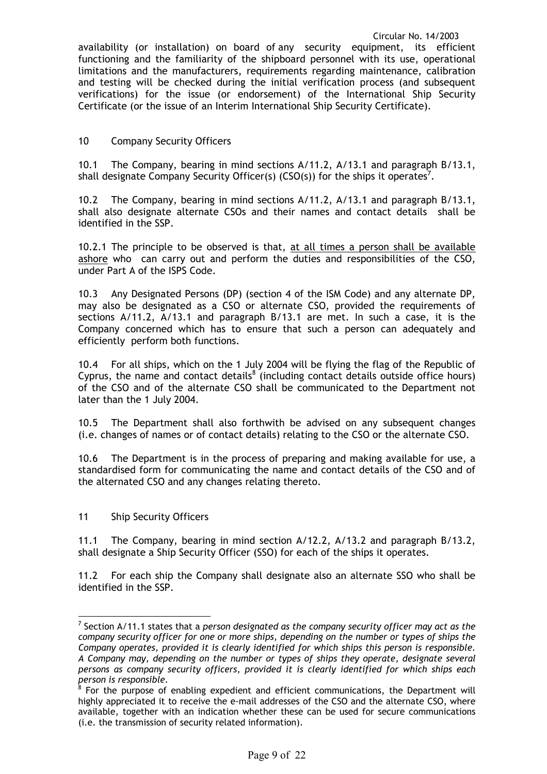availability (or installation) on board of any security equipment, its efficient functioning and the familiarity of the shipboard personnel with its use, operational limitations and the manufacturers, requirements regarding maintenance, calibration and testing will be checked during the initial verification process (and subsequent verifications) for the issue (or endorsement) of the International Ship Security Certificate (or the issue of an Interim International Ship Security Certificate).

## 10 Company Security Officers

10.1 The Company, bearing in mind sections A/11.2, A/13.1 and paragraph B/13.1, shall designate Company Security Officer(s) (CSO(s)) for the ships it operates<sup>7</sup>.

10.2 The Company, bearing in mind sections A/11.2, A/13.1 and paragraph B/13.1, shall also designate alternate CSOs and their names and contact details shall be identified in the SSP.

10.2.1 The principle to be observed is that, at all times a person shall be available ashore who can carry out and perform the duties and responsibilities of the CSO, under Part A of the ISPS Code.

10.3 Any Designated Persons (DP) (section 4 of the ISM Code) and any alternate DP, may also be designated as a CSO or alternate CSO, provided the requirements of sections A/11.2, A/13.1 and paragraph B/13.1 are met. In such a case, it is the Company concerned which has to ensure that such a person can adequately and efficiently perform both functions.

10.4 For all ships, which on the 1 July 2004 will be flying the flag of the Republic of Cyprus, the name and contact details $^8$  (including contact details outside office hours) of the CSO and of the alternate CSO shall be communicated to the Department not later than the 1 July 2004.

10.5 The Department shall also forthwith be advised on any subsequent changes (i.e. changes of names or of contact details) relating to the CSO or the alternate CSO.

10.6 The Department is in the process of preparing and making available for use, a standardised form for communicating the name and contact details of the CSO and of the alternated CSO and any changes relating thereto.

11 Ship Security Officers

 $\overline{a}$ 

11.1 The Company, bearing in mind section A/12.2, A/13.2 and paragraph B/13.2, shall designate a Ship Security Officer (SSO) for each of the ships it operates.

11.2 For each ship the Company shall designate also an alternate SSO who shall be identified in the SSP.

<sup>7</sup> Section A/11.1 states that a *person designated as the company security officer may act as the company security officer for one or more ships, depending on the number or types of ships the Company operates, provided it is clearly identified for which ships this person is responsible. A Company may, depending on the number or types of ships they operate, designate several persons as company security officers, provided it is clearly identified for which ships each person is responsible.*

<sup>&</sup>lt;sup>8</sup> For the purpose of enabling expedient and efficient communications, the Department will highly appreciated it to receive the e-mail addresses of the CSO and the alternate CSO, where available, together with an indication whether these can be used for secure communications (i.e. the transmission of security related information).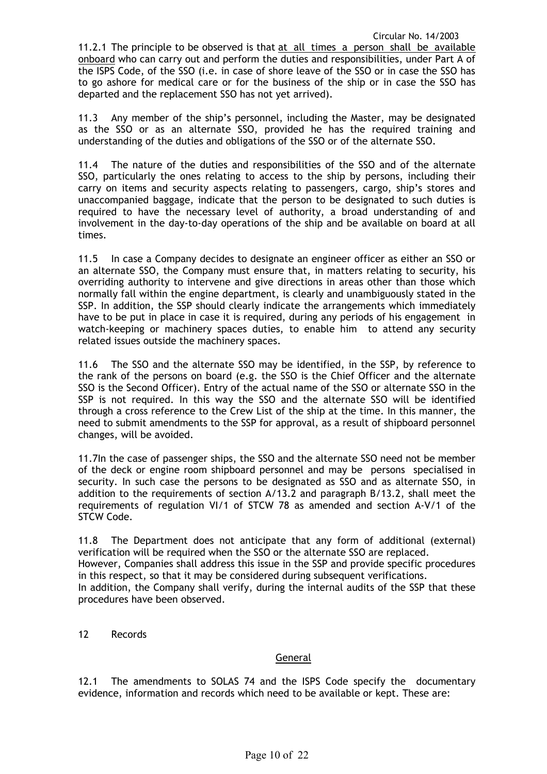11.2.1 The principle to be observed is that at all times a person shall be available onboard who can carry out and perform the duties and responsibilities, under Part A of the ISPS Code, of the SSO (i.e. in case of shore leave of the SSO or in case the SSO has to go ashore for medical care or for the business of the ship or in case the SSO has departed and the replacement SSO has not yet arrived).

11.3 Any member of the ship's personnel, including the Master, may be designated as the SSO or as an alternate SSO, provided he has the required training and understanding of the duties and obligations of the SSO or of the alternate SSO.

11.4 The nature of the duties and responsibilities of the SSO and of the alternate SSO, particularly the ones relating to access to the ship by persons, including their carry on items and security aspects relating to passengers, cargo, ship's stores and unaccompanied baggage, indicate that the person to be designated to such duties is required to have the necessary level of authority, a broad understanding of and involvement in the day-to-day operations of the ship and be available on board at all times.

11.5 In case a Company decides to designate an engineer officer as either an SSO or an alternate SSO, the Company must ensure that, in matters relating to security, his overriding authority to intervene and give directions in areas other than those which normally fall within the engine department, is clearly and unambiguously stated in the SSP. In addition, the SSP should clearly indicate the arrangements which immediately have to be put in place in case it is required, during any periods of his engagement in watch-keeping or machinery spaces duties, to enable him to attend any security related issues outside the machinery spaces.

11.6 The SSO and the alternate SSO may be identified, in the SSP, by reference to the rank of the persons on board (e.g. the SSO is the Chief Officer and the alternate SSO is the Second Officer). Entry of the actual name of the SSO or alternate SSO in the SSP is not required. In this way the SSO and the alternate SSO will be identified through a cross reference to the Crew List of the ship at the time. In this manner, the need to submit amendments to the SSP for approval, as a result of shipboard personnel changes, will be avoided.

11.7In the case of passenger ships, the SSO and the alternate SSO need not be member of the deck or engine room shipboard personnel and may be persons specialised in security. In such case the persons to be designated as SSO and as alternate SSO, in addition to the requirements of section A/13.2 and paragraph B/13.2, shall meet the requirements of regulation VI/1 of STCW 78 as amended and section A-V/1 of the STCW Code.

11.8 The Department does not anticipate that any form of additional (external) verification will be required when the SSO or the alternate SSO are replaced. However, Companies shall address this issue in the SSP and provide specific procedures in this respect, so that it may be considered during subsequent verifications. In addition, the Company shall verify, during the internal audits of the SSP that these procedures have been observed.

12 Records

## General

12.1 The amendments to SOLAS 74 and the ISPS Code specify the documentary evidence, information and records which need to be available or kept. These are: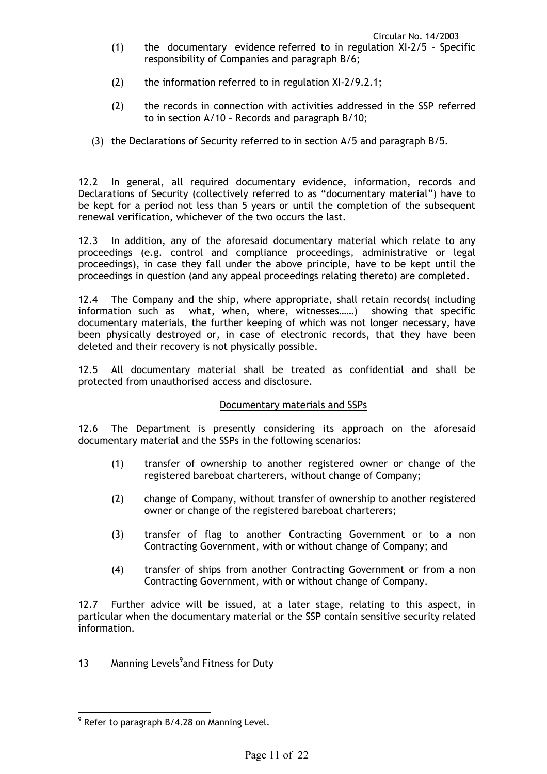- (1) the documentary evidence referred to in regulation XI-2/5 Specific responsibility of Companies and paragraph B/6;
- (2) the information referred to in regulation XI-2/9.2.1;
- (2) the records in connection with activities addressed in the SSP referred to in section A/10 – Records and paragraph B/10;
- (3) the Declarations of Security referred to in section A/5 and paragraph B/5.

12.2 In general, all required documentary evidence, information, records and Declarations of Security (collectively referred to as "documentary material") have to be kept for a period not less than 5 years or until the completion of the subsequent renewal verification, whichever of the two occurs the last.

12.3 In addition, any of the aforesaid documentary material which relate to any proceedings (e.g. control and compliance proceedings, administrative or legal proceedings), in case they fall under the above principle, have to be kept until the proceedings in question (and any appeal proceedings relating thereto) are completed.

12.4 The Company and the ship, where appropriate, shall retain records( including information such as what, when, where, witnesses……) showing that specific documentary materials, the further keeping of which was not longer necessary, have been physically destroyed or, in case of electronic records, that they have been deleted and their recovery is not physically possible.

12.5 All documentary material shall be treated as confidential and shall be protected from unauthorised access and disclosure.

## Documentary materials and SSPs

12.6 The Department is presently considering its approach on the aforesaid documentary material and the SSPs in the following scenarios:

- (1) transfer of ownership to another registered owner or change of the registered bareboat charterers, without change of Company;
- (2) change of Company, without transfer of ownership to another registered owner or change of the registered bareboat charterers;
- (3) transfer of flag to another Contracting Government or to a non Contracting Government, with or without change of Company; and
- (4) transfer of ships from another Contracting Government or from a non Contracting Government, with or without change of Company.

12.7 Further advice will be issued, at a later stage, relating to this aspect, in particular when the documentary material or the SSP contain sensitive security related information.

13 Manning Levels<sup>9</sup> and Fitness for Duty

 $\overline{a}$  $9$  Refer to paragraph B/4.28 on Manning Level.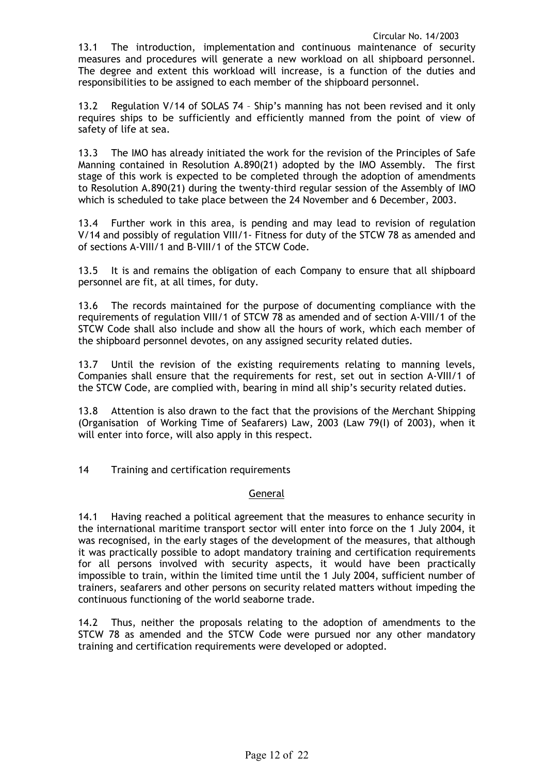13.1 The introduction, implementation and continuous maintenance of security measures and procedures will generate a new workload on all shipboard personnel. The degree and extent this workload will increase, is a function of the duties and responsibilities to be assigned to each member of the shipboard personnel.

13.2 Regulation V/14 of SOLAS 74 – Ship's manning has not been revised and it only requires ships to be sufficiently and efficiently manned from the point of view of safety of life at sea.

13.3 The IMO has already initiated the work for the revision of the Principles of Safe Manning contained in Resolution A.890(21) adopted by the IMO Assembly. The first stage of this work is expected to be completed through the adoption of amendments to Resolution A.890(21) during the twenty-third regular session of the Assembly of IMO which is scheduled to take place between the 24 November and 6 December, 2003.

13.4 Further work in this area, is pending and may lead to revision of regulation V/14 and possibly of regulation VIII/1- Fitness for duty of the STCW 78 as amended and of sections A-VIII/1 and B-VIII/1 of the STCW Code.

13.5 It is and remains the obligation of each Company to ensure that all shipboard personnel are fit, at all times, for duty.

13.6 The records maintained for the purpose of documenting compliance with the requirements of regulation VIII/1 of STCW 78 as amended and of section A-VIII/1 of the STCW Code shall also include and show all the hours of work, which each member of the shipboard personnel devotes, on any assigned security related duties.

13.7 Until the revision of the existing requirements relating to manning levels, Companies shall ensure that the requirements for rest, set out in section A-VIII/1 of the STCW Code, are complied with, bearing in mind all ship's security related duties.

13.8 Attention is also drawn to the fact that the provisions of the Merchant Shipping (Organisation of Working Time of Seafarers) Law, 2003 (Law 79(I) of 2003), when it will enter into force, will also apply in this respect.

14 Training and certification requirements

## General

14.1 Having reached a political agreement that the measures to enhance security in the international maritime transport sector will enter into force on the 1 July 2004, it was recognised, in the early stages of the development of the measures, that although it was practically possible to adopt mandatory training and certification requirements for all persons involved with security aspects, it would have been practically impossible to train, within the limited time until the 1 July 2004, sufficient number of trainers, seafarers and other persons on security related matters without impeding the continuous functioning of the world seaborne trade.

14.2 Thus, neither the proposals relating to the adoption of amendments to the STCW 78 as amended and the STCW Code were pursued nor any other mandatory training and certification requirements were developed or adopted.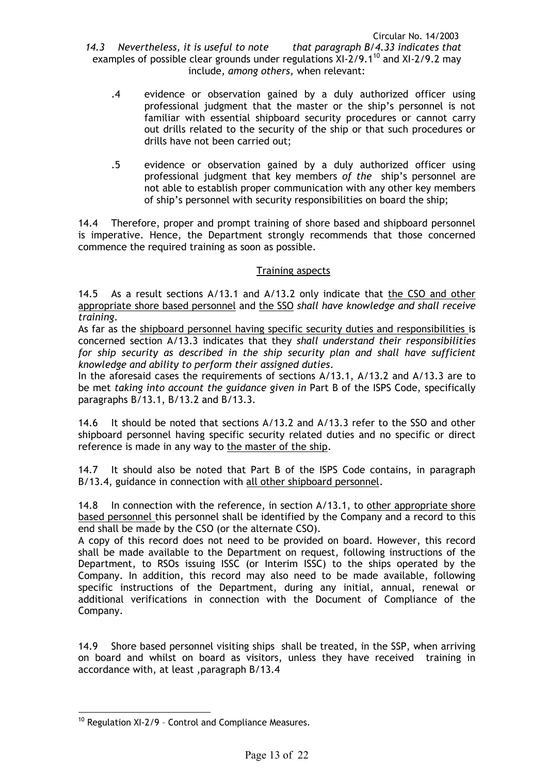- .4 evidence or observation gained by a duly authorized officer using professional judgment that the master or the ship's personnel is not familiar with essential shipboard security procedures or cannot carry out drills related to the security of the ship or that such procedures or drills have not been carried out;
- .5 evidence or observation gained by a duly authorized officer using professional judgment that key members *of the* ship's personnel are not able to establish proper communication with any other key members of ship's personnel with security responsibilities on board the ship;

14.4 Therefore, proper and prompt training of shore based and shipboard personnel is imperative. Hence, the Department strongly recommends that those concerned commence the required training as soon as possible.

## Training aspects

14.5 As a result sections A/13.1 and A/13.2 only indicate that the CSO and other appropriate shore based personnel and the SSO *shall have knowledge and shall receive training*.

As far as the shipboard personnel having specific security duties and responsibilities is concerned section A/13.3 indicates that they *shall understand their responsibilities*  for ship security as described in the ship security plan and shall have sufficient *knowledge and ability to perform their assigned duties*.

In the aforesaid cases the requirements of sections A/13.1, A/13.2 and A/13.3 are to be met *taking into account the guidance given in* Part B of the ISPS Code, specifically paragraphs B/13.1, B/13.2 and B/13.3.

14.6 It should be noted that sections A/13.2 and A/13.3 refer to the SSO and other shipboard personnel having specific security related duties and no specific or direct reference is made in any way to the master of the ship.

14.7 It should also be noted that Part B of the ISPS Code contains, in paragraph B/13.4, guidance in connection with all other shipboard personnel.

14.8 In connection with the reference, in section A/13.1, to other appropriate shore based personnel this personnel shall be identified by the Company and a record to this end shall be made by the CSO (or the alternate CSO).

A copy of this record does not need to be provided on board. However, this record shall be made available to the Department on request, following instructions of the Department, to RSOs issuing ISSC (or Interim ISSC) to the ships operated by the Company. In addition, this record may also need to be made available, following specific instructions of the Department, during any initial, annual, renewal or additional verifications in connection with the Document of Compliance of the Company.

14.9 Shore based personnel visiting ships shall be treated, in the SSP, when arriving on board and whilst on board as visitors, unless they have received training in accordance with, at least ,paragraph B/13.4

 $\overline{a}$  $10$  Regulation XI-2/9 - Control and Compliance Measures.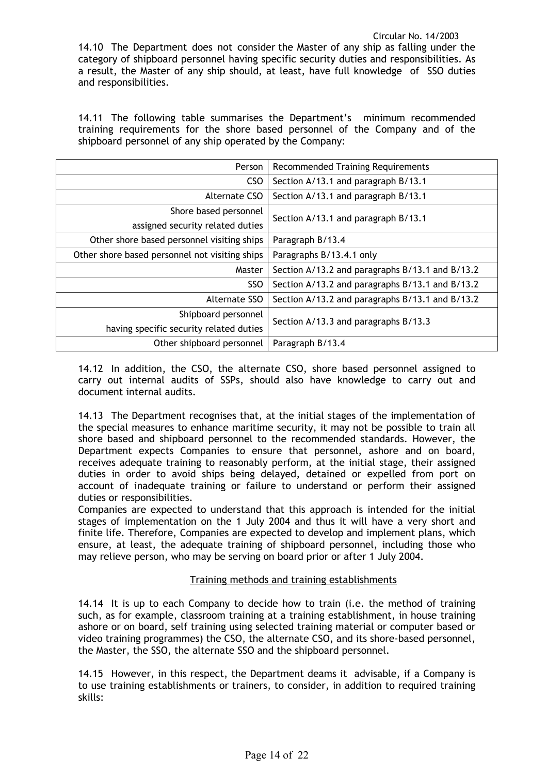14.11 The following table summarises the Department's minimum recommended training requirements for the shore based personnel of the Company and of the shipboard personnel of any ship operated by the Company:

| Person                                         | <b>Recommended Training Requirements</b>        |
|------------------------------------------------|-------------------------------------------------|
| <b>CSO</b>                                     | Section A/13.1 and paragraph B/13.1             |
| Alternate CSO                                  | Section A/13.1 and paragraph B/13.1             |
| Shore based personnel                          | Section A/13.1 and paragraph B/13.1             |
| assigned security related duties               |                                                 |
| Other shore based personnel visiting ships     | Paragraph B/13.4                                |
| Other shore based personnel not visiting ships | Paragraphs B/13.4.1 only                        |
| Master                                         | Section A/13.2 and paragraphs B/13.1 and B/13.2 |
| <b>SSO</b>                                     | Section A/13.2 and paragraphs B/13.1 and B/13.2 |
| Alternate SSO                                  | Section A/13.2 and paragraphs B/13.1 and B/13.2 |
| Shipboard personnel                            | Section A/13.3 and paragraphs B/13.3            |
| having specific security related duties        |                                                 |
| Other shipboard personnel                      | Paragraph B/13.4                                |

14.12 In addition, the CSO, the alternate CSO, shore based personnel assigned to carry out internal audits of SSPs, should also have knowledge to carry out and document internal audits.

14.13 The Department recognises that, at the initial stages of the implementation of the special measures to enhance maritime security, it may not be possible to train all shore based and shipboard personnel to the recommended standards. However, the Department expects Companies to ensure that personnel, ashore and on board, receives adequate training to reasonably perform, at the initial stage, their assigned duties in order to avoid ships being delayed, detained or expelled from port on account of inadequate training or failure to understand or perform their assigned duties or responsibilities.

Companies are expected to understand that this approach is intended for the initial stages of implementation on the 1 July 2004 and thus it will have a very short and finite life. Therefore, Companies are expected to develop and implement plans, which ensure, at least, the adequate training of shipboard personnel, including those who may relieve person, who may be serving on board prior or after 1 July 2004.

## Training methods and training establishments

14.14 It is up to each Company to decide how to train (i.e. the method of training such, as for example, classroom training at a training establishment, in house training ashore or on board, self training using selected training material or computer based or video training programmes) the CSO, the alternate CSO, and its shore-based personnel, the Master, the SSO, the alternate SSO and the shipboard personnel.

14.15 However, in this respect, the Department deams it advisable, if a Company is to use training establishments or trainers, to consider, in addition to required training skills: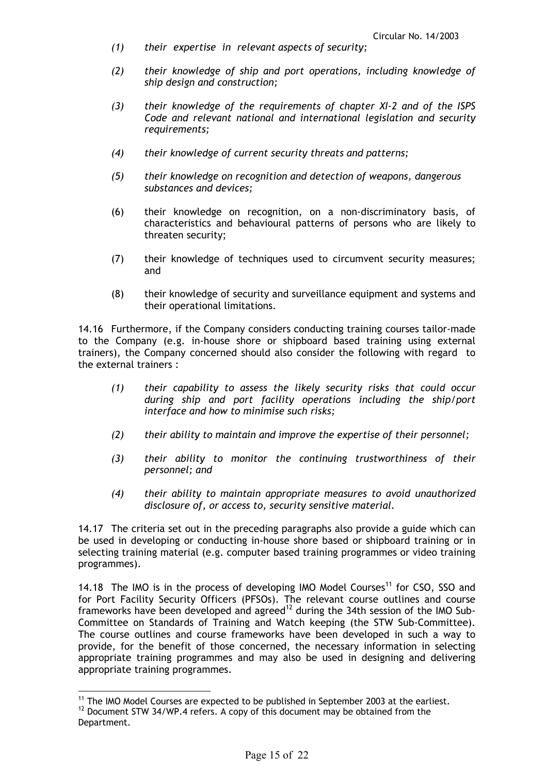- *(1) their expertise in relevant aspects of security;*
- *(2) their knowledge of ship and port operations, including knowledge of ship design and construction;*
- *(3) their knowledge of the requirements of chapter XI-2 and of the ISPS Code and relevant national and international legislation and security requirements;*
- *(4) their knowledge of current security threats and patterns;*
- *(5) their knowledge on recognition and detection of weapons, dangerous substances and devices;*
- (6) their knowledge on recognition, on a non-discriminatory basis, of characteristics and behavioural patterns of persons who are likely to threaten security;
- (7) their knowledge of techniques used to circumvent security measures; and
- (8) their knowledge of security and surveillance equipment and systems and their operational limitations.

14.16 Furthermore, if the Company considers conducting training courses tailor-made to the Company (e.g. in-house shore or shipboard based training using external trainers), the Company concerned should also consider the following with regard to the external trainers :

- *(1) their capability to assess the likely security risks that could occur during ship and port facility operations including the ship/port interface and how to minimise such risks;*
- *(2) their ability to maintain and improve the expertise of their personnel;*
- *(3) their ability to monitor the continuing trustworthiness of their personnel; and*
- *(4) their ability to maintain appropriate measures to avoid unauthorized disclosure of, or access to, security sensitive material.*

14.17 The criteria set out in the preceding paragraphs also provide a guide which can be used in developing or conducting in-house shore based or shipboard training or in selecting training material (e.g. computer based training programmes or video training programmes).

14.18 The IMO is in the process of developing IMO Model Courses<sup>11</sup> for CSO, SSO and for Port Facility Security Officers (PFSOs). The relevant course outlines and course frameworks have been developed and agreed<sup>12</sup> during the 34th session of the IMO Sub-Committee on Standards of Training and Watch keeping (the STW Sub-Committee). The course outlines and course frameworks have been developed in such a way to provide, for the benefit of those concerned, the necessary information in selecting appropriate training programmes and may also be used in designing and delivering appropriate training programmes.

 $\overline{a}$  $11$  The IMO Model Courses are expected to be published in September 2003 at the earliest.

 $12$  Document STW 34/WP.4 refers. A copy of this document may be obtained from the Department.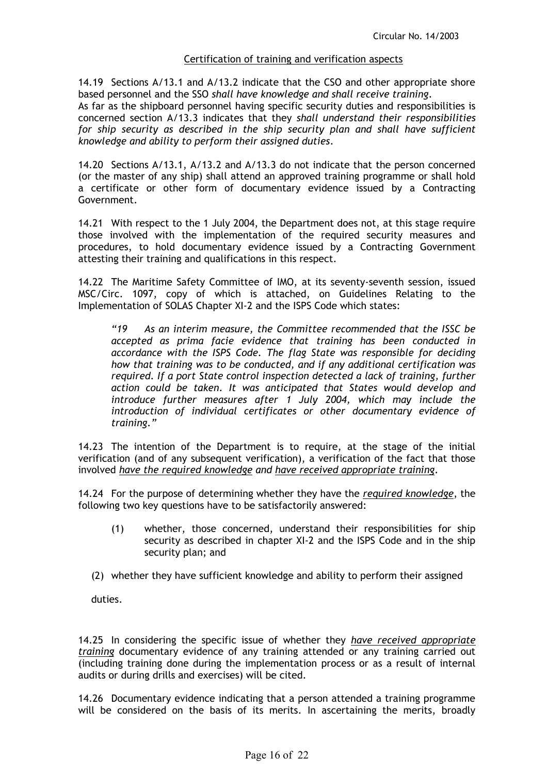## Certification of training and verification aspects

14.19 Sections A/13.1 and A/13.2 indicate that the CSO and other appropriate shore based personnel and the SSO *shall have knowledge and shall receive training*. As far as the shipboard personnel having specific security duties and responsibilities is concerned section A/13.3 indicates that they *shall understand their responsibilities*  for ship security as described in the ship security plan and shall have sufficient *knowledge and ability to perform their assigned duties*.

14.20 Sections A/13.1, A/13.2 and A/13.3 do not indicate that the person concerned (or the master of any ship) shall attend an approved training programme or shall hold a certificate or other form of documentary evidence issued by a Contracting Government.

14.21 With respect to the 1 July 2004, the Department does not, at this stage require those involved with the implementation of the required security measures and procedures, to hold documentary evidence issued by a Contracting Government attesting their training and qualifications in this respect.

14.22 The Maritime Safety Committee of IMO, at its seventy-seventh session, issued MSC/Circ. 1097, copy of which is attached, on Guidelines Relating to the Implementation of SOLAS Chapter XI-2 and the ISPS Code which states:

*"19 As an interim measure, the Committee recommended that the ISSC be accepted as prima facie evidence that training has been conducted in accordance with the ISPS Code. The flag State was responsible for deciding how that training was to be conducted, and if any additional certification was required. If a port State control inspection detected a lack of training, further action could be taken. It was anticipated that States would develop and introduce further measures after 1 July 2004, which may include the introduction of individual certificates or other documentary evidence of training."* 

14.23 The intention of the Department is to require, at the stage of the initial verification (and of any subsequent verification), a verification of the fact that those involved *have the required knowledge and have received appropriate training*.

14.24 For the purpose of determining whether they have the *required knowledge*, the following two key questions have to be satisfactorily answered:

- (1) whether, those concerned, understand their responsibilities for ship security as described in chapter XI-2 and the ISPS Code and in the ship security plan; and
- (2) whether they have sufficient knowledge and ability to perform their assigned

duties.

14.25 In considering the specific issue of whether they *have received appropriate training* documentary evidence of any training attended or any training carried out (including training done during the implementation process or as a result of internal audits or during drills and exercises) will be cited.

14.26 Documentary evidence indicating that a person attended a training programme will be considered on the basis of its merits. In ascertaining the merits, broadly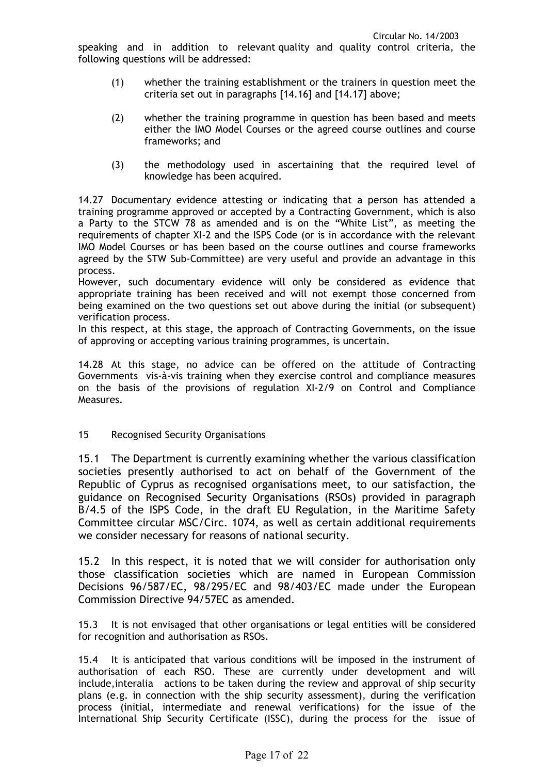speaking and in addition to relevant quality and quality control criteria, the following questions will be addressed:

- (1) whether the training establishment or the trainers in question meet the criteria set out in paragraphs [14.16] and [14.17] above;
- (2) whether the training programme in question has been based and meets either the IMO Model Courses or the agreed course outlines and course frameworks; and
- (3) the methodology used in ascertaining that the required level of knowledge has been acquired.

14.27 Documentary evidence attesting or indicating that a person has attended a training programme approved or accepted by a Contracting Government, which is also a Party to the STCW 78 as amended and is on the "White List", as meeting the requirements of chapter XI-2 and the ISPS Code (or is in accordance with the relevant IMO Model Courses or has been based on the course outlines and course frameworks agreed by the STW Sub-Committee) are very useful and provide an advantage in this process.

However, such documentary evidence will only be considered as evidence that appropriate training has been received and will not exempt those concerned from being examined on the two questions set out above during the initial (or subsequent) verification process.

In this respect, at this stage, the approach of Contracting Governments, on the issue of approving or accepting various training programmes, is uncertain.

14.28 At this stage, no advice can be offered on the attitude of Contracting Governments vis-à-vis training when they exercise control and compliance measures on the basis of the provisions of regulation XI-2/9 on Control and Compliance Measures.

## 15 Recognised Security Organisations

15.1 The Department is currently examining whether the various classification societies presently authorised to act on behalf of the Government of the Republic of Cyprus as recognised organisations meet, to our satisfaction, the guidance on Recognised Security Organisations (RSOs) provided in paragraph B/4.5 of the ISPS Code, in the draft EU Regulation, in the Maritime Safety Committee circular MSC/Circ. 1074, as well as certain additional requirements we consider necessary for reasons of national security.

15.2 In this respect, it is noted that we will consider for authorisation only those classification societies which are named in European Commission Decisions 96/587/EC, 98/295/EC and 98/403/EC made under the European Commission Directive 94/57EC as amended.

15.3 It is not envisaged that other organisations or legal entities will be considered for recognition and authorisation as RSOs.

15.4 It is anticipated that various conditions will be imposed in the instrument of authorisation of each RSO. These are currently under development and will include,interalia actions to be taken during the review and approval of ship security plans (e.g. in connection with the ship security assessment), during the verification process (initial, intermediate and renewal verifications) for the issue of the International Ship Security Certificate (ISSC), during the process for the issue of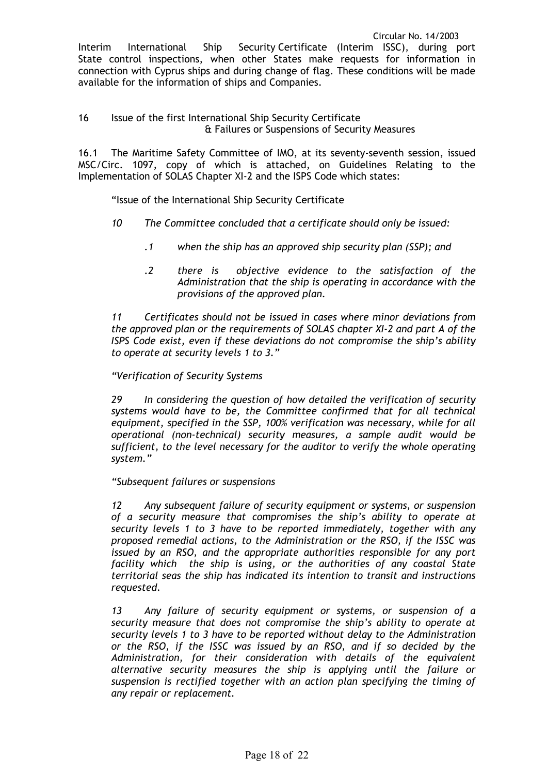Interim International Ship Security Certificate (Interim ISSC), during port State control inspections, when other States make requests for information in connection with Cyprus ships and during change of flag. These conditions will be made available for the information of ships and Companies.

#### 16 Issue of the first International Ship Security Certificate & Failures or Suspensions of Security Measures

16.1 The Maritime Safety Committee of IMO, at its seventy-seventh session, issued MSC/Circ. 1097, copy of which is attached, on Guidelines Relating to the Implementation of SOLAS Chapter XI-2 and the ISPS Code which states:

"Issue of the International Ship Security Certificate

- *10 The Committee concluded that a certificate should only be issued:* 
	- *.1 when the ship has an approved ship security plan (SSP); and*
	- *.2 there is objective evidence to the satisfaction of the Administration that the ship is operating in accordance with the provisions of the approved plan.*

*11 Certificates should not be issued in cases where minor deviations from the approved plan or the requirements of SOLAS chapter XI-2 and part A of the ISPS Code exist, even if these deviations do not compromise the ship's ability to operate at security levels 1 to 3."* 

## *"Verification of Security Systems*

*29 In considering the question of how detailed the verification of security systems would have to be, the Committee confirmed that for all technical equipment, specified in the SSP, 100% verification was necessary, while for all operational (non-technical) security measures, a sample audit would be sufficient, to the level necessary for the auditor to verify the whole operating system."* 

## *"Subsequent failures or suspensions*

*12 Any subsequent failure of security equipment or systems, or suspension of a security measure that compromises the ship's ability to operate at security levels 1 to 3 have to be reported immediately, together with any proposed remedial actions, to the Administration or the RSO, if the ISSC was issued by an RSO, and the appropriate authorities responsible for any port facility which the ship is using, or the authorities of any coastal State territorial seas the ship has indicated its intention to transit and instructions requested.* 

*13 Any failure of security equipment or systems, or suspension of a security measure that does not compromise the ship's ability to operate at security levels 1 to 3 have to be reported without delay to the Administration or the RSO, if the ISSC was issued by an RSO, and if so decided by the Administration, for their consideration with details of the equivalent alternative security measures the ship is applying until the failure or suspension is rectified together with an action plan specifying the timing of any repair or replacement.*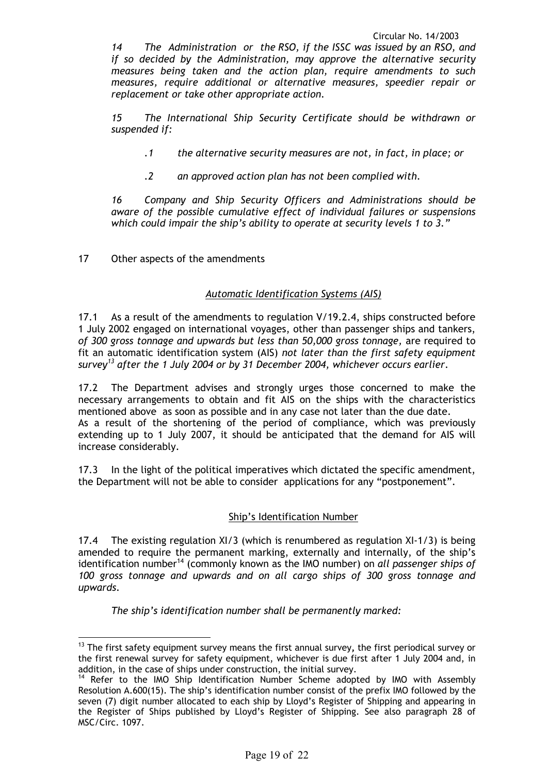*14 The Administration or the RSO, if the ISSC was issued by an RSO, and if so decided by the Administration, may approve the alternative security measures being taken and the action plan, require amendments to such measures, require additional or alternative measures, speedier repair or replacement or take other appropriate action.* 

*15 The International Ship Security Certificate should be withdrawn or suspended if:* 

- *.1 the alternative security measures are not, in fact, in place; or*
- *.2 an approved action plan has not been complied with.*

*16 Company and Ship Security Officers and Administrations should be aware of the possible cumulative effect of individual failures or suspensions which could impair the ship's ability to operate at security levels 1 to 3."*

17 Other aspects of the amendments

 $\overline{a}$ 

#### *Automatic Identification Systems (AIS)*

17.1 As a result of the amendments to regulation V/19.2.4, ships constructed before 1 July 2002 engaged on international voyages, other than passenger ships and tankers, *of 300 gross tonnage and upwards but less than 50,000 gross tonnage,* are required to fit an automatic identification system (AIS) *not later than the first safety equipment survey13 after the 1 July 2004 or by 31 December 2004, whichever occurs earlier*.

17.2 The Department advises and strongly urges those concerned to make the necessary arrangements to obtain and fit AIS on the ships with the characteristics mentioned above as soon as possible and in any case not later than the due date. As a result of the shortening of the period of compliance, which was previously extending up to 1 July 2007, it should be anticipated that the demand for AIS will increase considerably.

17.3 In the light of the political imperatives which dictated the specific amendment, the Department will not be able to consider applications for any "postponement".

#### Ship's Identification Number

17.4 The existing regulation XI/3 (which is renumbered as regulation XI-1/3) is being amended to require the permanent marking, externally and internally, of the ship's identification number14 (commonly known as the IMO number) on *all passenger ships of 100 gross tonnage and upwards and on all cargo ships of 300 gross tonnage and upwards*.

*The ship's identification number shall be permanently marked:* 

<sup>13</sup> The first safety equipment survey means the first annual survey**,** the first periodical survey or the first renewal survey for safety equipment, whichever is due first after 1 July 2004 and, in addition, in the case of ships under construction, the initial survey.

 $14$  Refer to the IMO Ship Identification Number Scheme adopted by IMO with Assembly Resolution A.600(15). The ship's identification number consist of the prefix IMO followed by the seven (7) digit number allocated to each ship by Lloyd's Register of Shipping and appearing in the Register of Ships published by Lloyd's Register of Shipping. See also paragraph 28 of MSC/Circ. 1097.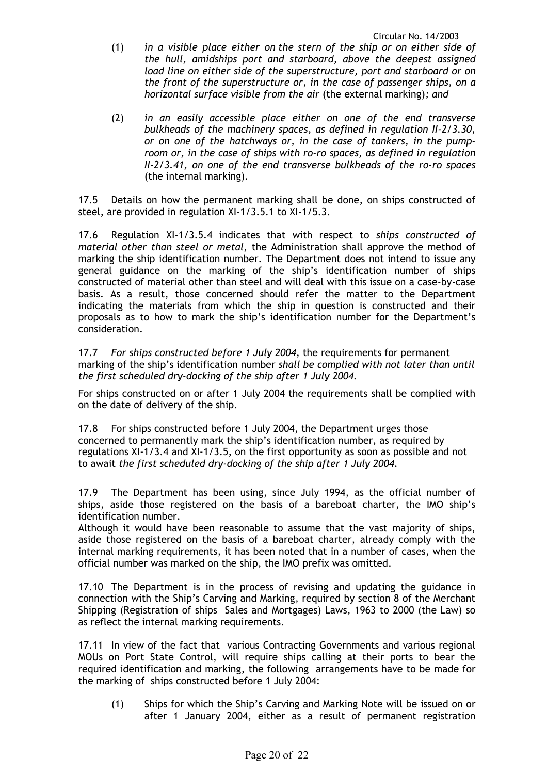- (1) *in a visible place either on the stern of the ship or on either side of the hull, amidships port and starboard, above the deepest assigned load line on either side of the superstructure, port and starboard or on the front of the superstructure or, in the case of passenger ships, on a horizontal surface visible from the air* (the external marking)*; and*
- (2) *in an easily accessible place either on one of the end transverse bulkheads of the machinery spaces, as defined in regulation II-2/3.30, or on one of the hatchways or, in the case of tankers, in the pumproom or, in the case of ships with ro-ro spaces, as defined in regulation II-2/3.41, on one of the end transverse bulkheads of the ro-ro spaces*  (the internal marking)*.*

17.5 Details on how the permanent marking shall be done, on ships constructed of steel, are provided in regulation XI-1/3.5.1 to XI-1/5.3.

17.6 Regulation XI-1/3.5.4 indicates that with respect to *ships constructed of material other than steel or metal*, the Administration shall approve the method of marking the ship identification number. The Department does not intend to issue any general guidance on the marking of the ship's identification number of ships constructed of material other than steel and will deal with this issue on a case-by-case basis. As a result, those concerned should refer the matter to the Department indicating the materials from which the ship in question is constructed and their proposals as to how to mark the ship's identification number for the Department's consideration.

17.7 *For ships constructed before 1 July 2004,* the requirements for permanent marking of the ship's identification number *shall be complied with not later than until the first scheduled dry-docking of the ship after 1 July 2004.*

For ships constructed on or after 1 July 2004 the requirements shall be complied with on the date of delivery of the ship.

17.8 For ships constructed before 1 July 2004, the Department urges those concerned to permanently mark the ship's identification number, as required by regulations XI-1/3.4 and XI-1/3.5, on the first opportunity as soon as possible and not to await *the first scheduled dry-docking of the ship after 1 July 2004.*

17.9 The Department has been using, since July 1994, as the official number of ships, aside those registered on the basis of a bareboat charter, the IMO ship's identification number.

Although it would have been reasonable to assume that the vast majority of ships, aside those registered on the basis of a bareboat charter, already comply with the internal marking requirements, it has been noted that in a number of cases, when the official number was marked on the ship, the IMO prefix was omitted.

17.10 The Department is in the process of revising and updating the guidance in connection with the Ship's Carving and Marking, required by section 8 of the Merchant Shipping (Registration of ships Sales and Mortgages) Laws, 1963 to 2000 (the Law) so as reflect the internal marking requirements.

17.11 In view of the fact that various Contracting Governments and various regional MOUs on Port State Control, will require ships calling at their ports to bear the required identification and marking, the following arrangements have to be made for the marking of ships constructed before 1 July 2004:

(1) Ships for which the Ship's Carving and Marking Note will be issued on or after 1 January 2004, either as a result of permanent registration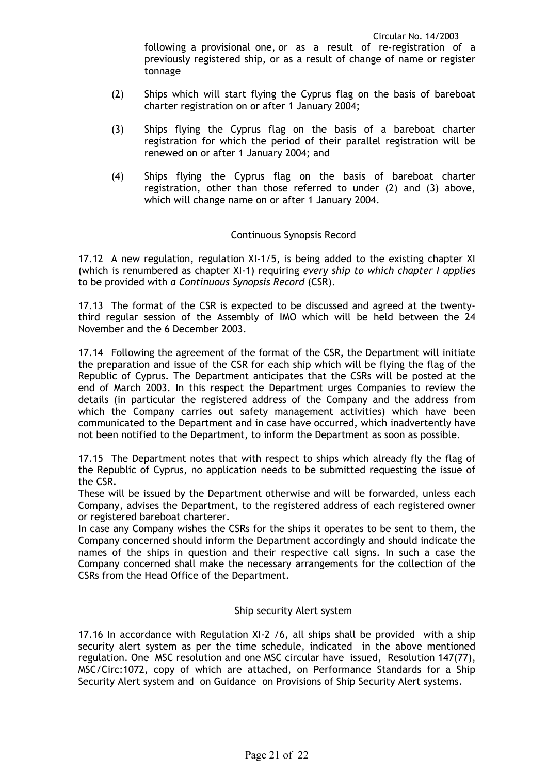following a provisional one, or as a result of re-registration of a previously registered ship, or as a result of change of name or register tonnage

- (2) Ships which will start flying the Cyprus flag on the basis of bareboat charter registration on or after 1 January 2004;
- (3) Ships flying the Cyprus flag on the basis of a bareboat charter registration for which the period of their parallel registration will be renewed on or after 1 January 2004; and
- (4) Ships flying the Cyprus flag on the basis of bareboat charter registration, other than those referred to under (2) and (3) above, which will change name on or after 1 January 2004.

## Continuous Synopsis Record

17.12 A new regulation, regulation XI-1/5, is being added to the existing chapter XI (which is renumbered as chapter XI-1) requiring *every ship to which chapter I applies* to be provided with *a Continuous Synopsis Record* (CSR).

17.13 The format of the CSR is expected to be discussed and agreed at the twentythird regular session of the Assembly of IMO which will be held between the 24 November and the 6 December 2003.

17.14 Following the agreement of the format of the CSR, the Department will initiate the preparation and issue of the CSR for each ship which will be flying the flag of the Republic of Cyprus. The Department anticipates that the CSRs will be posted at the end of March 2003. In this respect the Department urges Companies to review the details (in particular the registered address of the Company and the address from which the Company carries out safety management activities) which have been communicated to the Department and in case have occurred, which inadvertently have not been notified to the Department, to inform the Department as soon as possible.

17.15 The Department notes that with respect to ships which already fly the flag of the Republic of Cyprus, no application needs to be submitted requesting the issue of the CSR.

These will be issued by the Department otherwise and will be forwarded, unless each Company, advises the Department, to the registered address of each registered owner or registered bareboat charterer.

In case any Company wishes the CSRs for the ships it operates to be sent to them, the Company concerned should inform the Department accordingly and should indicate the names of the ships in question and their respective call signs. In such a case the Company concerned shall make the necessary arrangements for the collection of the CSRs from the Head Office of the Department.

#### Ship security Alert system

17.16 In accordance with Regulation XI-2 /6, all ships shall be provided with a ship security alert system as per the time schedule, indicated in the above mentioned regulation. One MSC resolution and one MSC circular have issued, Resolution 147(77), MSC/Circ:1072, copy of which are attached, on Performance Standards for a Ship Security Alert system and on Guidance on Provisions of Ship Security Alert systems.